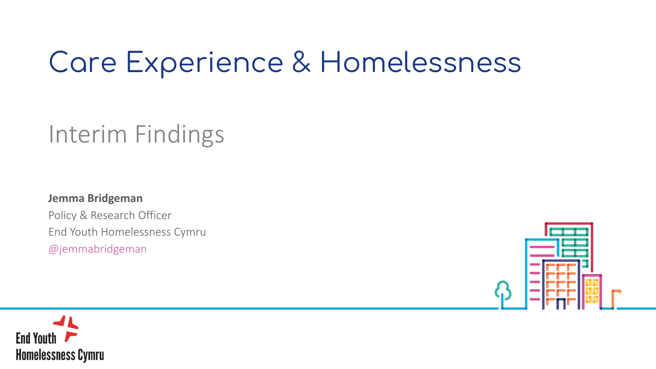## Care Experience & Homelessness

## Interim Findings

#### **Jemma Bridgeman**

Policy & Research Officer End Youth Homelessness Cymru @jemmabridgeman



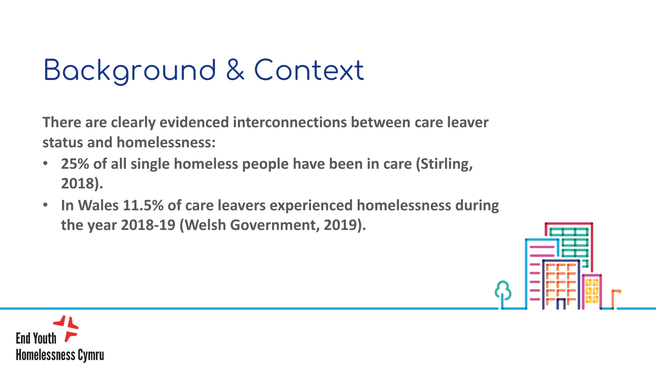# Background & Context

**There are clearly evidenced interconnections between care leaver status and homelessness:** 

- **25% of all single homeless people have been in care (Stirling, 2018).**
- **In Wales 11.5% of care leavers experienced homelessness during the year 2018-19 (Welsh Government, 2019).**



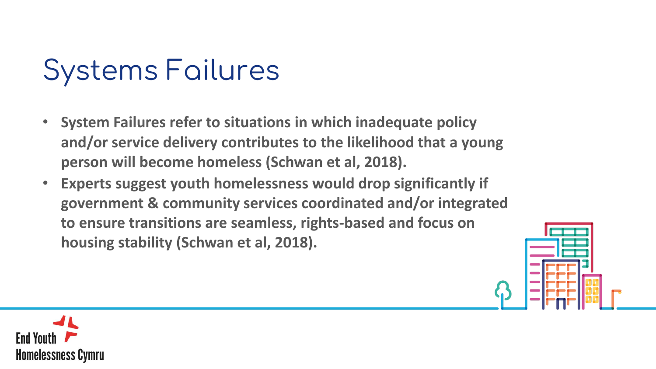## Systems Failures

- **System Failures refer to situations in which inadequate policy and/or service delivery contributes to the likelihood that a young person will become homeless (Schwan et al, 2018).**
- **Experts suggest youth homelessness would drop significantly if government & community services coordinated and/or integrated to ensure transitions are seamless, rights-based and focus on housing stability (Schwan et al, 2018).**



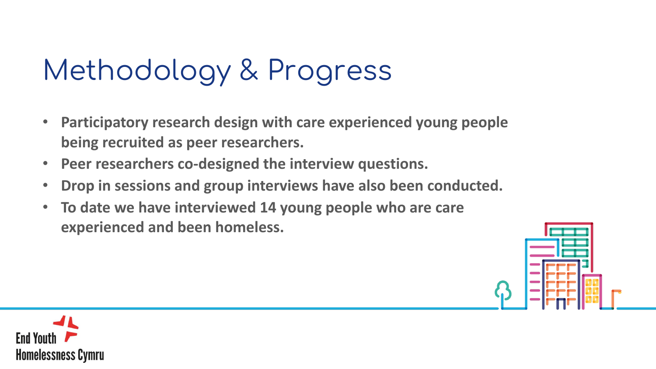## Methodology & Progress

- **Participatory research design with care experienced young people being recruited as peer researchers.**
- **Peer researchers co-designed the interview questions.**
- **Drop in sessions and group interviews have also been conducted.**
- **To date we have interviewed 14 young people who are care experienced and been homeless.**



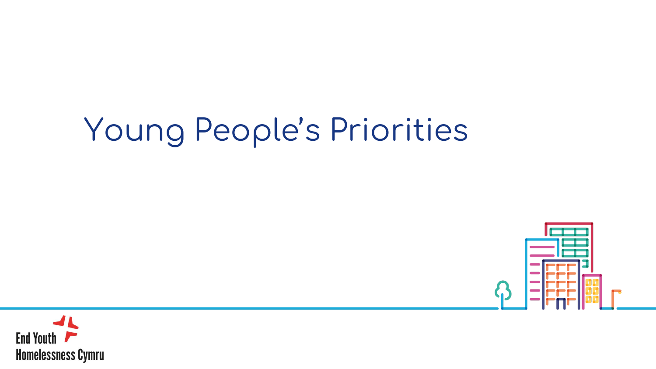# Young People's Priorities



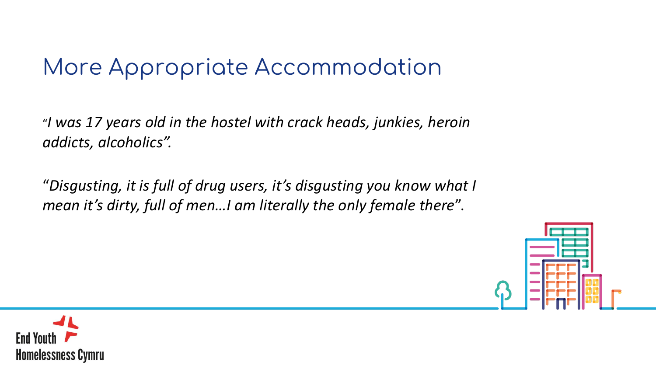### More Appropriate Accommodation

"*I was 17 years old in the hostel with crack heads, junkies, heroin addicts, alcoholics".* 

"*Disgusting, it is full of drug users, it's disgusting you know what I mean it's dirty, full of men…I am literally the only female there*".



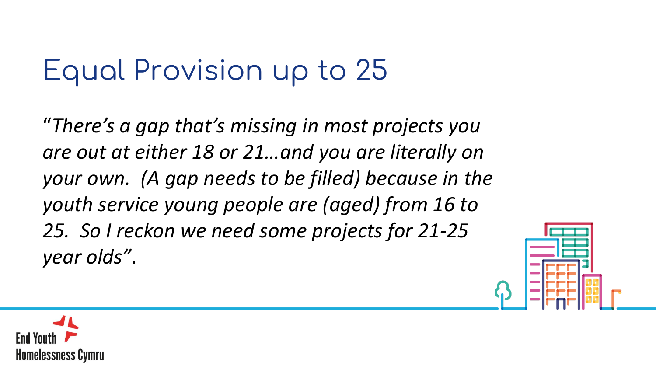## Equal Provision up to 25

"*There's a gap that's missing in most projects you are out at either 18 or 21…and you are literally on your own. (A gap needs to be filled) because in the youth service young people are (aged) from 16 to 25. So I reckon we need some projects for 21-25 year olds"*.



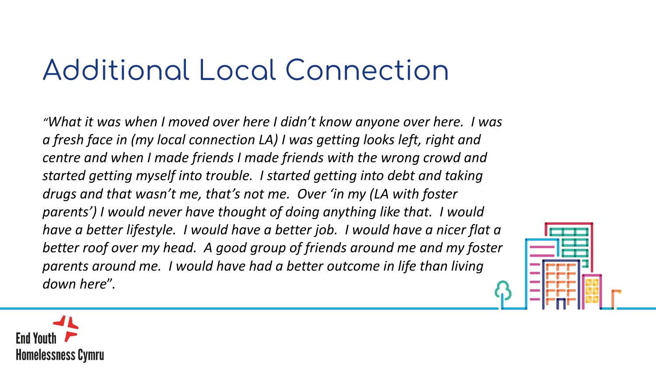## Additional Local Connection

*"What it was when I moved over here I didn't know anyone over here. I was a fresh face in (my local connection LA) I was getting looks left, right and centre and when I made friends I made friends with the wrong crowd and started getting myself into trouble. I started getting into debt and taking drugs and that wasn't me, that's not me. Over 'in my (LA with foster parents') I would never have thought of doing anything like that. I would have a better lifestyle. I would have a better job. I would have a nicer flat a better roof over my head. A good group of friends around me and my foster parents around me. I would have had a better outcome in life than living down here*".